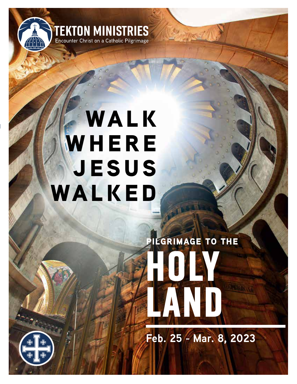

## **WALK WHERE jesus walked**

# **HOLY LAND pilgrimage to the**

**Feb. 25 - Mar. 8, 2023**

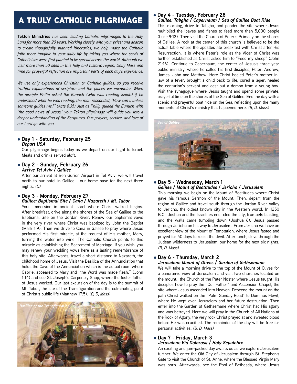## a truly catholic pilgrimage

**Tekton Ministries** *has been leading Catholic pilgrimages to the Holy Land for more than 20 years. Working closely with your priest and deacon to create thoughtfully planned itineraries, we help make the Catholic faith more tangible to your daily life by taking you where the seeds of Catholicism were first planted to be spread across the world. Although we visit more than 50 sites in this holy and historic region, Daily Mass and time for prayerful reflection are important parts of each day's experience.*

*We use only experienced Christian or Catholic guides, so you receive truthful explanations of scripture and the places we encounter. When the disciple Philip asked the Eunuch (who was reading Isaiah) if he understood what he was reading, the man responded, "How can I, unless someone guides me?" (Acts 8:35) Just as Philip guided the Eunuch with "the good news of Jesus," your Tekton pilgrimage will guide you into a deeper understanding of the Scriptures. Our prayers, service, and love of our Lord go with you.*

#### l **Day 1 - Saturday, February 25** *Depart USA*

Our pilgrimage begins today as we depart on our flight to Israel. Meals and drinks served aloft.

l **Day 2 - Sunday, February 26** *Arrive Tel Aviv / Galilee*

After our arrival at Ben Gurion Airport in Tel Aviv, we will travel north to our hotel in Galilee - our home base for the next three nights. *(D)*

#### l **Day 3 - Monday, February 27** *Galilee: Baptismal Site / Cana / Nazareth / Mt. Tabor*

Your immersion in ancient Israel where Christ walked begins. After breakfast, drive along the shores of the Sea of Galilee to the Baptismal Site on the Jordan River. Renew our baptismal vows in the very river where Christ was baptized by John the Baptist (Mark 1:9). Then we drive to Cana in Galilee to pray where Jesus performed His first miracle, at the request of His mother, Mary, turning the water into wine. The Catholic Church points to this miracle as establishing the Sacrament of Marriage. If you wish, you may renew your wedding vows here as a lasting remembrance of this holy site. Afterwards, travel a short distance to Nazareth, the childhood home of Jesus. Visit the Basilica of the Annunciation that holds the Cave of the Annunciation which is the actual room where Gabriel appeared to Mary and "the Word was made flesh." (John 1:14) and see St. Joseph's Carpentry Shop, where the foster father of Jesus worked. Our last excursion of the day is to the summit of Mt. Tabor, the site of the Transfiguration and the culminating point of Christ's public life (Matthew 17:5). *(B, D, Mass)*



#### l **Day 4 - Tuesday, February 28**

*Galilee: Tabgha / Capernaum / Sea of Galilee Boat Ride* This morning, drive to Tabgha, and ponder the site where Jesus multiplied the loaves and fishes to feed more than 5,000 people (Luke 9:13). Then visit the Church of Peter's Primacy on the shores of Galilee. A rock at the center of this church is believed to be the actual table where the apostles ate breakfast with Christ after His Resurrection. It is where Peter's role as the Vicar of Christ was further established as Christ asked him to "Feed my sheep" (John 21:16). Continue to Capernaum, the center of Jesus's three-year public ministry, where he called his first disciples, Peter, Andrew, James, John and Matthew. Here Christ healed Peter's mother-inlaw of a fever, brought a child back to life, cured a leper, healed the centurion's servant and cast out a demon from a young boy. Visit the synagogue where Jesus taught and spend some private, prayerful time on the shores of the Sea of Galilee. End the day with a scenic and prayerful boat ride on the Sea, reflecting upon the many moments of Christ's ministry that happened here. *(B, D, Mass)*



#### l **Day 5 - Wednesday, March 1** *Galilee / Mount of Beatitudes / Jericho / Jerusalem*

This morning we begin on the Mount of Beatitudes where Christ gave his famous Sermon of the Mount. Then, depart from the region of Galilee and travel south through the Jordan River Valley to Jericho, the oldest known city in the Western world. In 1250 B.C., Joshua and the Israelites encircled the city, trumpets blasting, and the walls came tumbling down (Joshua 6). Jesus passed through Jericho on his way to Jerusalem. From Jericho we have an excellent view of the Mount of Temptation, where Jesus fasted and prayed for 40 days to resist the devil. After lunch, drive through the Judean wilderness to Jerusalem, our home for the next six nights. *(B, D, Mass)*

#### l **Day 6 - Thursday, March 2**

#### *Jerusalem: Mount of Olives / Garden of Gethsemane*

We will take a morning drive to the top of the Mount of Olives for a panoramic view of Jerusalem and visit two churches located on the mount: the Church of the Pater Noster where Jesus taught His disciples how to pray the "Our Father" and Ascension Chapel, the site where Jesus ascended into Heaven. Descend the mount on the path Christ walked on the "Palm Sunday Road" to Dominus Flevit, where He wept over Jerusalem and her future destruction. Then enter into the Garden of Gethsemane where Christ had His agony and was betrayed. Here we will pray in the Church of All Nations at the Rock of Agony, the very rock Christ prayed at and sweated blood before He was crucified. The remainder of the day will be free for personal activities. *(B, D, Mass)*

#### l **Day 7 - Friday, March 3**

#### *Jerusalem: Via Dolorosa / Holy Sepulchre*

An exciting and jam-packed day awaits us as we explore Jerusalem further. We enter the Old City of Jerusalem through St. Stephen's Gate to visit the Church of St. Anne, where the Blessed Virgin Mary was born. Afterwards, see the Pool of Bethesda, where Jesus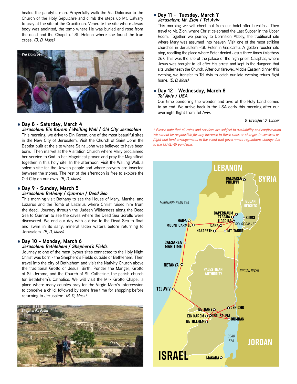healed the paralytic man. Prayerfully walk the Via Dolorosa to the Church of the Holy Sepulchre and climb the steps up Mt. Calvary to pray at the site of the Crucifixion. Venerate the site where Jesus body was anointed, the tomb where He was buried and rose from the dead and the Chapel of St. Helena where she found the true cross. *(B, D, Mass)*



#### l **Day 8 - Saturday, March 4**

*Jerusalem: Ein Karem / Wailing Wall / Old City Jerusalem* This morning, we drive to Ein Karem, one of the most beautiful sites in the New City of Jerusalem. Visit the Church of Saint John the Baptist built at the site where Saint John was believed to have been born. Then marvel at the Visitation Church where Mary proclaimed her service to God in her Magnificat prayer and pray the Magnificat together in this holy site. In the afternoon, visit the Wailing Wall, a solemn site for the Jewish people and where prayers are inserted between the stones. The rest of the afternoon is free to explore the Old City on our own. *(B, D, Mass)*

#### l **Day 9 - Sunday, March 5**

#### *Jerusalem: Bethany / Qumran / Dead Sea*

This morning visit Bethany to see the House of Mary, Martha, and Lazarus and the Tomb of Lazarus where Christ raised him from the dead. Journey through the Judean Wilderness along the Dead Sea to Qumran to see the caves where the Dead Sea Scrolls were discovered. We end our day with a drive to the Dead Sea to float and swim in its salty, mineral laden waters before returning to Jerusalem. *(B, D, Mass)*

#### l **Day 10 - Monday, March 6** *Jerusalem: Bethlehem / Shepherd's Fields*

Journey to one of the most joyous sites connected to the Holy Night Christ was born - the Shepherd's Fields outside of Bethlehem. Then travel into the city of Bethlehem and visit the Nativity Church above the traditional Grotto of Jesus' Birth. Ponder the Manger, Grotto of St. Jerome, and the Church of St. Catherine, the parish church for Bethlehem's Catholics. We will visit the Milk Grotto Chapel, a place where many couples pray for the Virgin Mary's intercession to conceive a child, followed by some free time for shopping before returning to Jerusalem. *(B, D, Mass)*



#### l **Day 11 - Tuesday, March 7** *Jerusalem: Mt. Zion / Tel Aviv*

This morning we will check out from our hotel after breakfast. Then travel to Mt. Zion, where Christ celebrated the Last Supper in the Upper Room. Together we journey to Dormition Abbey, the traditional site where Mary was assumed into heaven. Visit one of the most striking churches in Jerusalem –St. Peter in Gallicantu. A golden rooster sits atop, recalling the place where Peter denied Jesus three times (Matthew 26). This was the site of the palace of the high priest Caiaphas, where Jesus was brought to jail after His arrest and kept in the dungeon that sits underneath the Church. After our farewell Middle Eastern dinner this evening, we transfer to Tel Aviv to catch our late evening return fight home. *(B, D, Mass)*

#### l **Day 12 - Wednesday, March 8** *Tel Aviv / USA*

Our time pondering the wonder and awe of the Holy Land comes to an end. We arrive back in the USA early this morning after our overnight flight from Tel Aviv.

#### *B=Breakfast D=Dinner*

*\* Please note that all rates and services are subject to availability and confirmation. We cannot be responsible for any increase in these rates or changes in services or flight and land arrangements in the event that government regulations change due to the COVID-19 pandemic.*